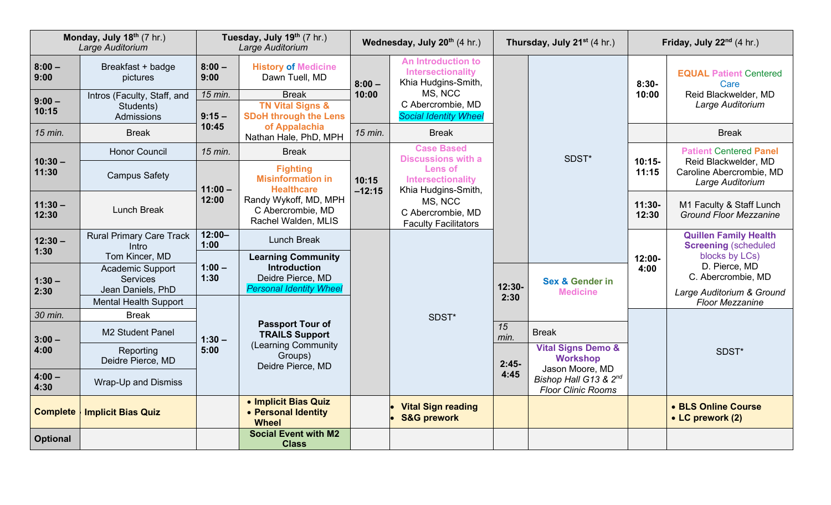| Monday, July $18th$ (7 hr.)<br>Large Auditorium |                                              | Tuesday, July 19th (7 hr.)<br>Large Auditorium |                                                                                                         | Wednesday, July 20 <sup>th</sup> (4 hr.) |                                                                                                                                              | <b>Thursday, July 21</b> <sup>st</sup> (4 hr.) |                                                                       | Friday, July 22nd (4 hr.) |                                                                                                                       |
|-------------------------------------------------|----------------------------------------------|------------------------------------------------|---------------------------------------------------------------------------------------------------------|------------------------------------------|----------------------------------------------------------------------------------------------------------------------------------------------|------------------------------------------------|-----------------------------------------------------------------------|---------------------------|-----------------------------------------------------------------------------------------------------------------------|
| $8:00 -$<br>9:00                                | Breakfast + badge<br>pictures                | $8:00 -$<br>9:00                               | <b>History of Medicine</b><br>Dawn Tuell, MD                                                            | $8:00 -$                                 | <b>An Introduction to</b><br><b>Intersectionality</b><br>Khia Hudgins-Smith,<br>MS, NCC<br>C Abercrombie, MD<br><b>Social Identity Wheel</b> | 12:30-<br>2:30<br>15                           | SDST*                                                                 | $8:30-$<br>10:00          | <b>EQUAL Patient Centered</b><br>Care<br>Reid Blackwelder, MD<br>Large Auditorium                                     |
| $9:00 -$<br>10:15                               | Intros (Faculty, Staff, and<br>Students)     | 15 min.<br>$9:15 -$<br>10:45                   | <b>Break</b><br><b>TN Vital Signs &amp;</b>                                                             | 10:00                                    |                                                                                                                                              |                                                |                                                                       |                           |                                                                                                                       |
|                                                 | Admissions                                   |                                                | <b>SDoH through the Lens</b>                                                                            | 15 min.                                  |                                                                                                                                              |                                                |                                                                       |                           |                                                                                                                       |
| 15 min.                                         | <b>Break</b>                                 |                                                | of Appalachia<br>Nathan Hale, PhD, MPH                                                                  |                                          | <b>Break</b>                                                                                                                                 |                                                |                                                                       |                           | <b>Break</b>                                                                                                          |
| $10:30 -$<br>11:30                              | <b>Honor Council</b>                         | 15 min.                                        | <b>Break</b>                                                                                            | 10:15<br>$-12:15$                        | <b>Case Based</b><br><b>Discussions with a</b><br><b>Lens of</b><br>Intersectionality<br>Khia Hudgins-Smith,<br>MS, NCC                      |                                                |                                                                       | $10:15-$<br>11:15         | <b>Patient Centered Panel</b><br>Reid Blackwelder, MD<br>Caroline Abercrombie, MD<br>Large Auditorium                 |
|                                                 | <b>Campus Safety</b>                         | $11:00 -$<br>12:00                             | <b>Fighting</b><br><b>Misinformation in</b><br><b>Healthcare</b>                                        |                                          |                                                                                                                                              |                                                |                                                                       |                           |                                                                                                                       |
| $11:30 -$                                       | <b>Lunch Break</b>                           |                                                | Randy Wykoff, MD, MPH<br>C Abercrombie, MD<br>Rachel Walden, MLIS                                       |                                          |                                                                                                                                              |                                                |                                                                       | 11:30-<br>12:30           | M1 Faculty & Staff Lunch<br><b>Ground Floor Mezzanine</b>                                                             |
| 12:30                                           |                                              |                                                |                                                                                                         |                                          | C Abercrombie, MD<br><b>Faculty Facilitators</b>                                                                                             |                                                |                                                                       |                           |                                                                                                                       |
| $12:30 -$                                       | <b>Rural Primary Care Track</b><br>Intro     | $12:00 -$<br>1:00                              | Lunch Break                                                                                             |                                          | SDST*                                                                                                                                        |                                                |                                                                       |                           | <b>Quillen Family Health</b><br><b>Screening (scheduled)</b><br>blocks by LCs)<br>D. Pierce, MD<br>C. Abercrombie, MD |
| 1:30                                            | Tom Kincer, MD                               | $1:00 -$<br>1:30                               | <b>Learning Community</b><br><b>Introduction</b><br>Deidre Pierce, MD                                   |                                          |                                                                                                                                              |                                                |                                                                       | 12:00-                    |                                                                                                                       |
| $1:30 -$                                        | <b>Academic Support</b><br><b>Services</b>   |                                                |                                                                                                         |                                          |                                                                                                                                              |                                                | 4:00<br><b>Sex &amp; Gender in</b><br><b>Medicine</b><br><b>Break</b> |                           |                                                                                                                       |
| 2:30                                            | Jean Daniels, PhD                            |                                                | <b>Personal Identity Wheel</b>                                                                          |                                          |                                                                                                                                              |                                                |                                                                       |                           | Large Auditorium & Ground                                                                                             |
| 30 min.                                         | <b>Mental Health Support</b><br><b>Break</b> |                                                | <b>Passport Tour of</b><br><b>TRAILS Support</b><br>(Learning Community<br>Groups)<br>Deidre Pierce, MD |                                          |                                                                                                                                              |                                                |                                                                       |                           | <b>Floor Mezzanine</b>                                                                                                |
|                                                 | <b>M2 Student Panel</b>                      | $1:30 -$<br>5:00                               |                                                                                                         |                                          |                                                                                                                                              |                                                |                                                                       |                           |                                                                                                                       |
| $3:00 -$<br>4:00                                |                                              |                                                |                                                                                                         |                                          |                                                                                                                                              | min.                                           | <b>Vital Signs Demo &amp;</b>                                         |                           | SDST*                                                                                                                 |
|                                                 | Reporting<br>Deidre Pierce, MD               |                                                |                                                                                                         |                                          |                                                                                                                                              | $2:45-$<br>4:45                                | <b>Workshop</b>                                                       |                           |                                                                                                                       |
| $4:00 -$<br>4:30                                | <b>Wrap-Up and Dismiss</b>                   |                                                |                                                                                                         |                                          |                                                                                                                                              |                                                | Jason Moore, MD<br>Bishop Hall G13 & 2nd<br><b>Floor Clinic Rooms</b> |                           |                                                                                                                       |
| <b>Complete</b>                                 | <b>Implicit Bias Quiz</b>                    |                                                | • Implicit Bias Quiz<br>• Personal Identity<br><b>Wheel</b>                                             |                                          | <b>Vital Sign reading</b><br><b>S&amp;G prework</b>                                                                                          |                                                |                                                                       |                           | • BLS Online Course<br>• LC prework (2)                                                                               |
| Optional                                        |                                              |                                                | <b>Social Event with M2</b><br><b>Class</b>                                                             |                                          |                                                                                                                                              |                                                |                                                                       |                           |                                                                                                                       |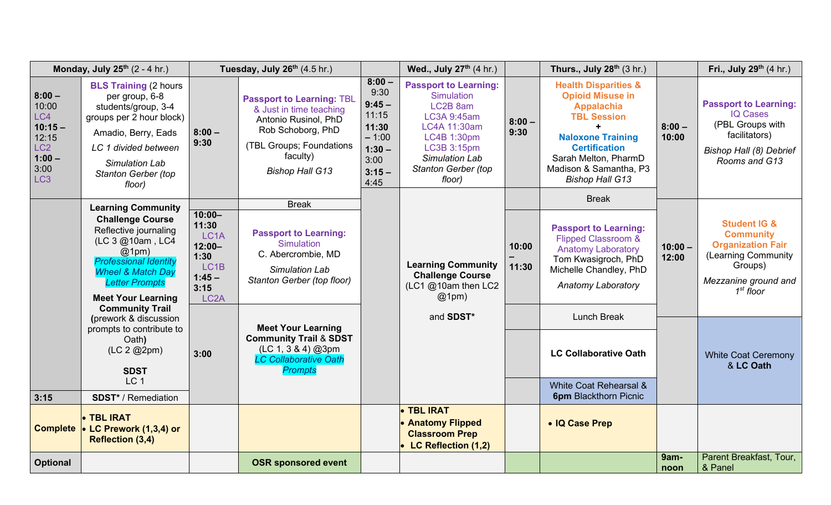| Monday, July 25th (2 - 4 hr.)                                                                            |                                                                                                                                                                                                                                                                                                                                                                                                         | Tuesday, July 26th (4.5 hr.)                                                                                               |                                                                                                                                                                            |                                                                                                   | Wed., July 27 <sup>th</sup> (4 hr.)                                                                                                                                           |                  | Thurs., July 28th (3 hr.)                                                                                                                                                                                                             | Fri., July 29th (4 hr.) |                                                                                                                                                  |
|----------------------------------------------------------------------------------------------------------|---------------------------------------------------------------------------------------------------------------------------------------------------------------------------------------------------------------------------------------------------------------------------------------------------------------------------------------------------------------------------------------------------------|----------------------------------------------------------------------------------------------------------------------------|----------------------------------------------------------------------------------------------------------------------------------------------------------------------------|---------------------------------------------------------------------------------------------------|-------------------------------------------------------------------------------------------------------------------------------------------------------------------------------|------------------|---------------------------------------------------------------------------------------------------------------------------------------------------------------------------------------------------------------------------------------|-------------------------|--------------------------------------------------------------------------------------------------------------------------------------------------|
| $8:00 -$<br>10:00<br>LC4<br>$10:15 -$<br>12:15<br>LC <sub>2</sub><br>$1:00 -$<br>3:00<br>LC <sub>3</sub> | <b>BLS Training (2 hours)</b><br>per group, 6-8<br>students/group, 3-4<br>groups per 2 hour block)<br>Amadio, Berry, Eads<br>LC 1 divided between<br><b>Simulation Lab</b><br><b>Stanton Gerber (top</b><br>floor)                                                                                                                                                                                      | $8:00 -$<br>9:30                                                                                                           | <b>Passport to Learning: TBL</b><br>& Just in time teaching<br>Antonio Rusinol, PhD<br>Rob Schoborg, PhD<br>(TBL Groups; Foundations<br>faculty)<br><b>Bishop Hall G13</b> | $8:00 -$<br>9:30<br>$9:45 -$<br>11:15<br>11:30<br>$-1:00$<br>$1:30 -$<br>3:00<br>$3:15 -$<br>4:45 | <b>Passport to Learning:</b><br><b>Simulation</b><br>LC2B 8am<br>LC3A 9:45am<br>LC4A 11:30am<br>LC4B 1:30pm<br>LC3B 3:15pm<br>Simulation Lab<br>Stanton Gerber (top<br>floor) | $8:00 -$<br>9:30 | <b>Health Disparities &amp;</b><br><b>Opioid Misuse in</b><br><b>Appalachia</b><br><b>TBL Session</b><br><b>Naloxone Training</b><br><b>Certification</b><br>Sarah Melton, PharmD<br>Madison & Samantha, P3<br><b>Bishop Hall G13</b> | $8:00 -$<br>10:00       | <b>Passport to Learning:</b><br><b>IQ Cases</b><br>(PBL Groups with<br>facilitators)<br>Bishop Hall (8) Debrief<br>Rooms and G13                 |
|                                                                                                          | <b>Learning Community</b><br><b>Challenge Course</b><br>Reflective journaling<br>(LC 3 @10am, LC4<br>@1pm)<br><b>Professional Identity</b><br><b>Wheel &amp; Match Day</b><br><b>Letter Prompts</b><br><b>Meet Your Learning</b><br><b>Community Trail</b><br>(prework & discussion<br>prompts to contribute to<br>Oath)<br>(LC 2 @2pm)<br><b>SDST</b><br>LC <sub>1</sub><br><b>SDST*</b> / Remediation | $10:00 -$<br>11:30<br>LC <sub>1</sub> A<br>$12:00 -$<br>1:30<br>LC <sub>1</sub> B<br>$1:45 -$<br>3:15<br>LC <sub>2</sub> A | <b>Break</b><br><b>Passport to Learning:</b><br>Simulation<br>C. Abercrombie, MD<br>Simulation Lab<br>Stanton Gerber (top floor)                                           |                                                                                                   | <b>Learning Community</b><br><b>Challenge Course</b><br>$(LC1@10am$ then LC2<br>@1pm)<br>and SDST*                                                                            | 10:00<br>11:30   | <b>Break</b><br><b>Passport to Learning:</b><br><b>Flipped Classroom &amp;</b><br><b>Anatomy Laboratory</b><br>Tom Kwasigroch, PhD<br>Michelle Chandley, PhD<br><b>Anatomy Laboratory</b><br><b>Lunch Break</b>                       | $10:00 -$<br>12:00      | <b>Student IG &amp;</b><br><b>Community</b><br><b>Organization Fair</b><br>(Learning Community<br>Groups)<br>Mezzanine ground and<br>$1st$ floor |
|                                                                                                          |                                                                                                                                                                                                                                                                                                                                                                                                         | 3:00                                                                                                                       | <b>Meet Your Learning</b><br><b>Community Trail &amp; SDST</b><br>(LC 1, 3 & 4) @3pm<br><b>LC Collaborative Oath</b><br><b>Prompts</b>                                     |                                                                                                   |                                                                                                                                                                               |                  | <b>LC Collaborative Oath</b><br>White Coat Rehearsal &<br><b>6pm Blackthorn Picnic</b>                                                                                                                                                |                         | <b>White Coat Ceremony</b><br>& LC Oath                                                                                                          |
| 3:15                                                                                                     | • TBL IRAT<br>Complete • LC Prework (1,3,4) or<br><b>Reflection (3,4)</b>                                                                                                                                                                                                                                                                                                                               |                                                                                                                            |                                                                                                                                                                            |                                                                                                   | • TBL IRAT<br>• Anatomy Flipped<br><b>Classroom Prep</b><br>• LC Reflection (1,2)                                                                                             |                  | • IQ Case Prep                                                                                                                                                                                                                        |                         |                                                                                                                                                  |
| <b>Optional</b>                                                                                          |                                                                                                                                                                                                                                                                                                                                                                                                         |                                                                                                                            | <b>OSR sponsored event</b>                                                                                                                                                 |                                                                                                   |                                                                                                                                                                               |                  |                                                                                                                                                                                                                                       | 9am-<br>noon            | Parent Breakfast, Tour,<br>& Panel                                                                                                               |